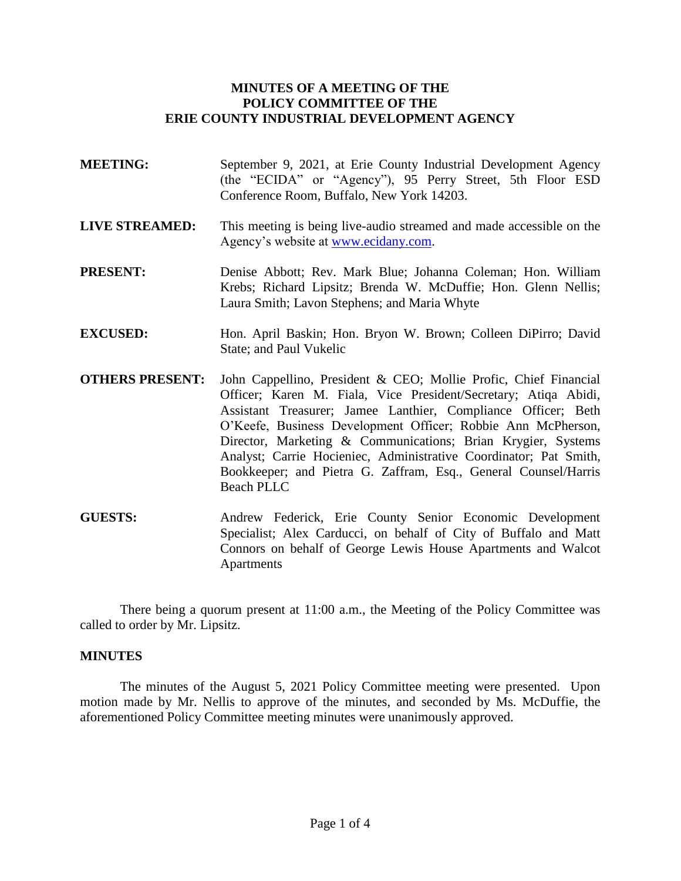## **MINUTES OF A MEETING OF THE POLICY COMMITTEE OF THE ERIE COUNTY INDUSTRIAL DEVELOPMENT AGENCY**

- **MEETING:** September 9, 2021, at Erie County Industrial Development Agency (the "ECIDA" or "Agency"), 95 Perry Street, 5th Floor ESD Conference Room, Buffalo, New York 14203.
- **LIVE STREAMED:** This meeting is being live-audio streamed and made accessible on the Agency's website at [www.ecidany.com.](http://www.ecidany.com/)
- **PRESENT:** Denise Abbott; Rev. Mark Blue; Johanna Coleman; Hon. William Krebs; Richard Lipsitz; Brenda W. McDuffie; Hon. Glenn Nellis; Laura Smith; Lavon Stephens; and Maria Whyte
- **EXCUSED:** Hon. April Baskin; Hon. Bryon W. Brown; Colleen DiPirro; David State; and Paul Vukelic
- **OTHERS PRESENT:** John Cappellino, President & CEO; Mollie Profic, Chief Financial Officer; Karen M. Fiala, Vice President/Secretary; Atiqa Abidi, Assistant Treasurer; Jamee Lanthier, Compliance Officer; Beth O'Keefe, Business Development Officer; Robbie Ann McPherson, Director, Marketing & Communications; Brian Krygier, Systems Analyst; Carrie Hocieniec, Administrative Coordinator; Pat Smith, Bookkeeper; and Pietra G. Zaffram, Esq., General Counsel/Harris Beach PLLC
- **GUESTS:** Andrew Federick, Erie County Senior Economic Development Specialist; Alex Carducci, on behalf of City of Buffalo and Matt Connors on behalf of George Lewis House Apartments and Walcot **Apartments**

There being a quorum present at 11:00 a.m., the Meeting of the Policy Committee was called to order by Mr. Lipsitz.

### **MINUTES**

The minutes of the August 5, 2021 Policy Committee meeting were presented. Upon motion made by Mr. Nellis to approve of the minutes, and seconded by Ms. McDuffie, the aforementioned Policy Committee meeting minutes were unanimously approved.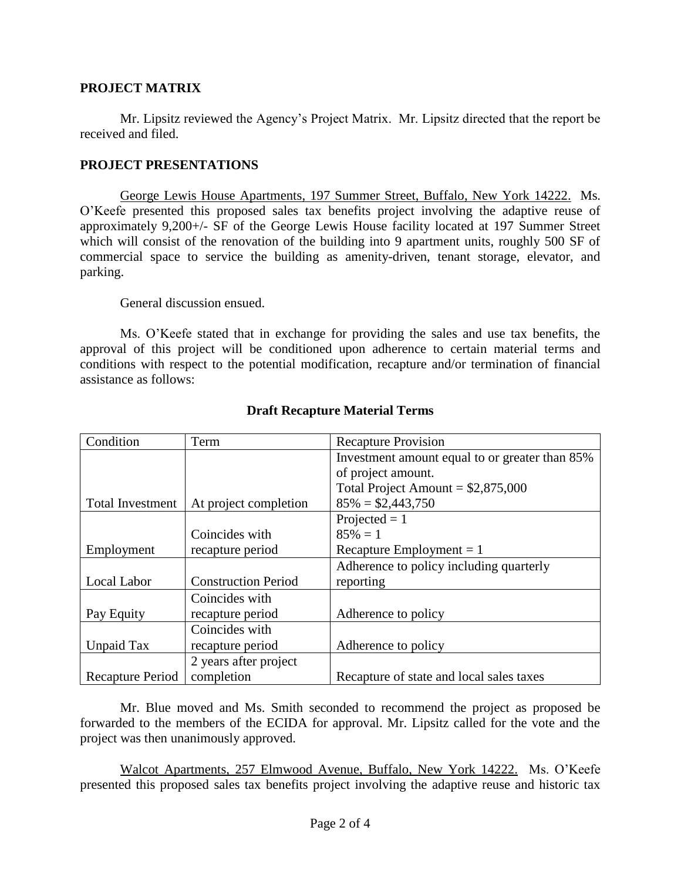## **PROJECT MATRIX**

Mr. Lipsitz reviewed the Agency's Project Matrix. Mr. Lipsitz directed that the report be received and filed.

## **PROJECT PRESENTATIONS**

George Lewis House Apartments, 197 Summer Street, Buffalo, New York 14222. Ms. O'Keefe presented this proposed sales tax benefits project involving the adaptive reuse of approximately 9,200+/- SF of the George Lewis House facility located at 197 Summer Street which will consist of the renovation of the building into 9 apartment units, roughly 500 SF of commercial space to service the building as amenity-driven, tenant storage, elevator, and parking.

General discussion ensued.

Ms. O'Keefe stated that in exchange for providing the sales and use tax benefits, the approval of this project will be conditioned upon adherence to certain material terms and conditions with respect to the potential modification, recapture and/or termination of financial assistance as follows:

| Condition               | Term                       | <b>Recapture Provision</b>                     |
|-------------------------|----------------------------|------------------------------------------------|
|                         |                            | Investment amount equal to or greater than 85% |
|                         |                            | of project amount.                             |
|                         |                            | Total Project Amount = $$2,875,000$            |
| <b>Total Investment</b> | At project completion      | $85\% = $2,443,750$                            |
|                         |                            | Projected $= 1$                                |
|                         | Coincides with             | $85\% = 1$                                     |
| Employment              | recapture period           | Recapture Employment $= 1$                     |
|                         |                            | Adherence to policy including quarterly        |
| Local Labor             | <b>Construction Period</b> | reporting                                      |
|                         | Coincides with             |                                                |
| Pay Equity              | recapture period           | Adherence to policy                            |
|                         | Coincides with             |                                                |
| Unpaid Tax              | recapture period           | Adherence to policy                            |
|                         | 2 years after project      |                                                |
| <b>Recapture Period</b> | completion                 | Recapture of state and local sales taxes       |

# **Draft Recapture Material Terms**

Mr. Blue moved and Ms. Smith seconded to recommend the project as proposed be forwarded to the members of the ECIDA for approval. Mr. Lipsitz called for the vote and the project was then unanimously approved.

Walcot Apartments, 257 Elmwood Avenue, Buffalo, New York 14222. Ms. O'Keefe presented this proposed sales tax benefits project involving the adaptive reuse and historic tax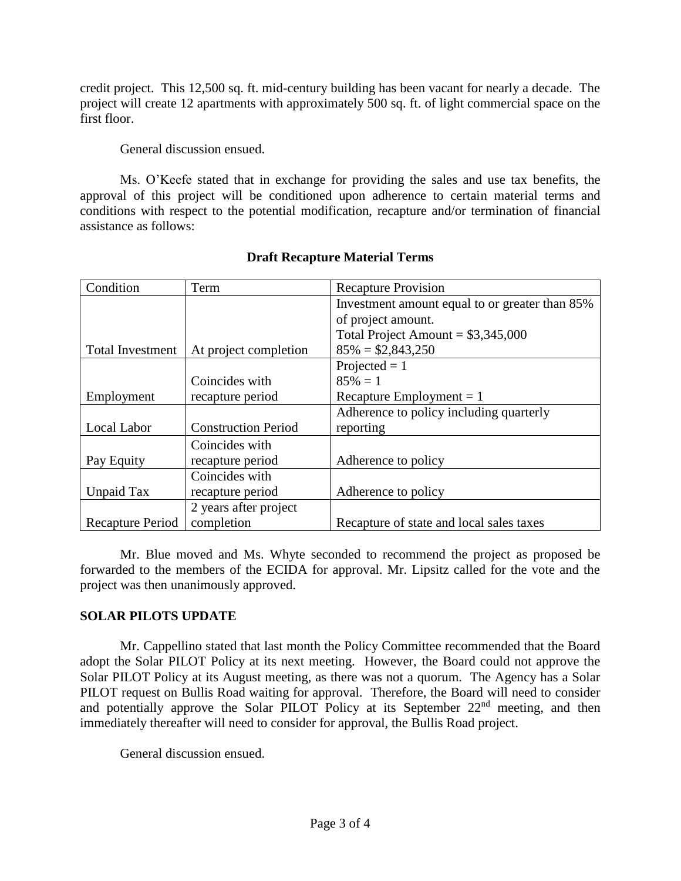credit project. This 12,500 sq. ft. mid-century building has been vacant for nearly a decade. The project will create 12 apartments with approximately 500 sq. ft. of light commercial space on the first floor.

General discussion ensued.

Ms. O'Keefe stated that in exchange for providing the sales and use tax benefits, the approval of this project will be conditioned upon adherence to certain material terms and conditions with respect to the potential modification, recapture and/or termination of financial assistance as follows:

| Condition               | Term                       | <b>Recapture Provision</b>                     |
|-------------------------|----------------------------|------------------------------------------------|
|                         |                            | Investment amount equal to or greater than 85% |
|                         |                            | of project amount.                             |
|                         |                            | Total Project Amount = $$3,345,000$            |
| <b>Total Investment</b> | At project completion      | $85\% = $2,843,250$                            |
|                         |                            | Projected $= 1$                                |
|                         | Coincides with             | $85\% = 1$                                     |
| Employment              | recapture period           | Recapture Employment $= 1$                     |
|                         |                            | Adherence to policy including quarterly        |
| Local Labor             | <b>Construction Period</b> | reporting                                      |
|                         | Coincides with             |                                                |
| Pay Equity              | recapture period           | Adherence to policy                            |
|                         | Coincides with             |                                                |
| Unpaid Tax              | recapture period           | Adherence to policy                            |
|                         | 2 years after project      |                                                |
| Recapture Period        | completion                 | Recapture of state and local sales taxes       |

# **Draft Recapture Material Terms**

Mr. Blue moved and Ms. Whyte seconded to recommend the project as proposed be forwarded to the members of the ECIDA for approval. Mr. Lipsitz called for the vote and the project was then unanimously approved.

## **SOLAR PILOTS UPDATE**

Mr. Cappellino stated that last month the Policy Committee recommended that the Board adopt the Solar PILOT Policy at its next meeting. However, the Board could not approve the Solar PILOT Policy at its August meeting, as there was not a quorum. The Agency has a Solar PILOT request on Bullis Road waiting for approval. Therefore, the Board will need to consider and potentially approve the Solar PILOT Policy at its September 22<sup>nd</sup> meeting, and then immediately thereafter will need to consider for approval, the Bullis Road project.

General discussion ensued.